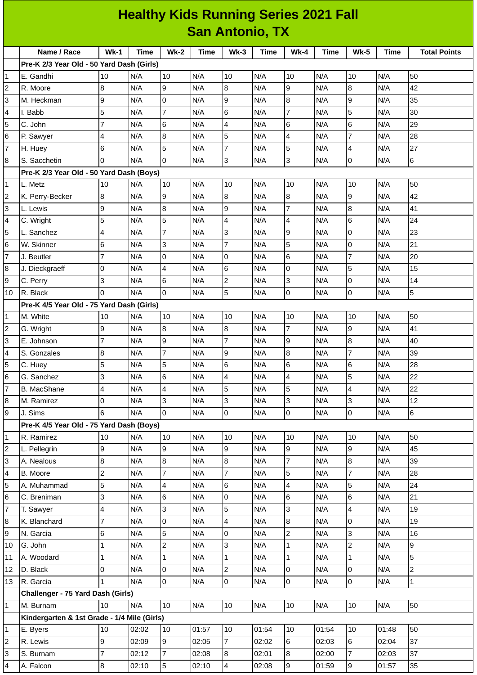| <b>Healthy Kids Running Series 2021 Fall</b> |                                             |                          |       |                         |             |                          |             |                |       |                          |             |                     |
|----------------------------------------------|---------------------------------------------|--------------------------|-------|-------------------------|-------------|--------------------------|-------------|----------------|-------|--------------------------|-------------|---------------------|
|                                              | <b>San Antonio, TX</b>                      |                          |       |                         |             |                          |             |                |       |                          |             |                     |
|                                              | Name / Race                                 | $Wk-1$                   | Time  | $Wk-2$                  | <b>Time</b> | $Wk-3$                   | <b>Time</b> | $Wk-4$         | Time  | <b>Wk-5</b>              | <b>Time</b> | <b>Total Points</b> |
|                                              | Pre-K 2/3 Year Old - 50 Yard Dash (Girls)   |                          |       |                         |             |                          |             |                |       |                          |             |                     |
| 1                                            | E. Gandhi                                   | 10                       | N/A   | 10                      | N/A         | 10                       | N/A         | 10             | N/A   | 10                       | N/A         | 50                  |
| $\overline{c}$                               | R. Moore                                    | 8                        | N/A   | 9                       | N/A         | 8                        | N/A         | 9              | N/A   | 8                        | N/A         | 42                  |
| 3                                            | M. Heckman                                  | 9                        | N/A   | 0                       | N/A         | 9                        | N/A         | 8              | N/A   | $\mathsf g$              | N/A         | 35                  |
| $\overline{\mathcal{L}}$                     | I. Babb                                     | 5                        | N/A   | 7                       | N/A         | 6                        | N/A         | $\overline{7}$ | N/A   | 5                        | N/A         | 30                  |
| 5                                            | C. John                                     | $\overline{7}$           | N/A   | 6                       | N/A         | $\overline{\mathcal{A}}$ | N/A         | $\,6$          | N/A   | 6                        | N/A         | 29                  |
| 6                                            | P. Sawyer                                   | $\overline{4}$           | N/A   | 8                       | N/A         | 5                        | N/A         | 4              | N/A   | 7                        | N/A         | 28                  |
| $\overline{7}$                               | H. Huey                                     | 6                        | N/A   | 5                       | N/A         | $\overline{7}$           | N/A         | 5              | N/A   | $\overline{4}$           | N/A         | 27                  |
| $\bf{8}$                                     | S. Sacchetin                                | $\Omega$                 | N/A   | 0                       | N/A         | $\overline{3}$           | N/A         | 3              | N/A   | 0                        | N/A         | 6                   |
|                                              | Pre-K 2/3 Year Old - 50 Yard Dash (Boys)    |                          |       |                         |             |                          |             |                |       |                          |             |                     |
| $\mathbf{1}$                                 | L. Metz                                     | 10                       | N/A   | 10                      | N/A         | 10                       | N/A         | 10             | N/A   | 10                       | N/A         | 50                  |
| $\overline{2}$                               | K. Perry-Becker                             | 8                        | N/A   | 9                       | N/A         | $\bf{8}$                 | N/A         | 8              | N/A   | 9                        | N/A         | 42                  |
| 3                                            | L. Lewis                                    | 9                        | N/A   | 8                       | N/A         | 9                        | N/A         | $\overline{7}$ | N/A   | 8                        | N/A         | 41                  |
| 4                                            | C. Wright                                   | 5                        | N/A   | 5                       | N/A         | $\overline{\mathbf{4}}$  | N/A         | 4              | N/A   | $\,6$                    | N/A         | 24                  |
| 5                                            | L. Sanchez                                  | $\overline{4}$           | N/A   | $\overline{7}$          | N/A         | 3                        | N/A         | 9              | N/A   | 0                        | N/A         | 23                  |
| $6\phantom{.}6$                              | W. Skinner                                  | 6                        | N/A   | 3                       | N/A         | $\overline{7}$           | N/A         | 5              | N/A   | 0                        | N/A         | 21                  |
| $\overline{7}$                               | J. Beutler                                  | $\overline{7}$           | N/A   | 0                       | N/A         | 0                        | N/A         | 6              | N/A   | $\overline{7}$           | N/A         | 20                  |
| $\bf{8}$                                     | J. Dieckgraeff                              | 0                        | N/A   | $\overline{\mathbf{4}}$ | N/A         | 6                        | N/A         | $\mathsf 0$    | N/A   | 5                        | N/A         | 15                  |
| 9                                            | C. Perry                                    | 3                        | N/A   | 6                       | N/A         | $\overline{c}$           | N/A         | 3              | N/A   | 0                        | N/A         | $14\,$              |
| 10                                           | R. Black                                    | $\Omega$                 | N/A   | l0                      | N/A         | 5                        | N/A         | $\mathsf 0$    | N/A   | 0                        | N/A         | 5                   |
|                                              | Pre-K 4/5 Year Old - 75 Yard Dash (Girls)   |                          |       |                         |             |                          |             |                |       |                          |             |                     |
| $\mathbf{1}$                                 | M. White                                    | 10                       | N/A   | 10                      | N/A         | 10                       | N/A         | 10             | N/A   | 10                       | N/A         | 50                  |
| $\overline{c}$                               | G. Wright                                   | 9                        | N/A   | 8                       | N/A         | 8                        | N/A         | 7              | N/A   | 9                        | N/A         | 41                  |
| 3                                            | E. Johnson                                  | $\overline{7}$           | N/A   | 9                       | N/A         | $\overline{7}$           | N/A         | 9              | N/A   | $\bf{8}$                 | N/A         | 40                  |
| $\overline{\mathbf{4}}$                      | S. Gonzales                                 | 8                        | N/A   | 7                       | N/A         | 9                        | N/A         | $\bf 8$        | N/A   | $\overline{7}$           | N/A         | 39                  |
| 5                                            | C. Huey                                     | 5                        | N/A   | 5                       | N/A         | $6\phantom{a}$           | N/A         | $\,6$          | N/A   | $6\overline{6}$          | N/A         | 28                  |
| 6                                            | G. Sanchez                                  | 3                        | N/A   | 6                       | N/A         | 4                        | N/A         | 4              | N/A   | 5                        | N/A         | 22                  |
| $\overline{7}$                               | <b>B.</b> MacShane                          | $\overline{\mathbf{4}}$  | N/A   | $\overline{\mathbf{4}}$ | N/A         | 5                        | N/A         | 5              | N/A   | $\overline{\mathcal{A}}$ | N/A         | 22                  |
| $\bf{8}$                                     | M. Ramirez                                  | 0                        | N/A   | 3                       | N/A         | 3                        | N/A         | 3              | N/A   | 3                        | N/A         | 12                  |
| 9                                            | J. Sims                                     | 6                        | N/A   | 0                       | N/A         | $\overline{0}$           | N/A         | $\overline{0}$ | N/A   | $\overline{0}$           | N/A         | 6                   |
|                                              | Pre-K 4/5 Year Old - 75 Yard Dash (Boys)    |                          |       |                         |             |                          |             |                |       |                          |             |                     |
| $\mathbf 1$                                  | R. Ramirez                                  | 10                       | N/A   | 10                      | N/A         | 10                       | N/A         | 10             | N/A   | 10                       | N/A         | 50                  |
| $\overline{c}$                               | L. Pellegrin                                | 9                        | N/A   | 9                       | N/A         | 9                        | N/A         | 9              | N/A   | 9                        | N/A         | 45                  |
| 3                                            | A. Nealous                                  | 8                        | N/A   | 8                       | N/A         | 8                        | N/A         | $\overline{7}$ | N/A   | 8                        | N/A         | 39                  |
| $\overline{\mathbf{4}}$                      | B. Moore                                    | $\overline{c}$           | N/A   | 7                       | N/A         | $\overline{7}$           | N/A         | 5              | N/A   | $\overline{7}$           | N/A         | 28                  |
| 5                                            | A. Muhammad                                 | 5                        | N/A   | $\overline{\mathbf{4}}$ | N/A         | 6                        | N/A         | 4              | N/A   | 5                        | N/A         | 24                  |
| 6                                            | C. Breniman                                 | 3                        | N/A   | 6                       | N/A         | $\overline{0}$           | N/A         | 6              | N/A   | 6                        | N/A         | 21                  |
| $\overline{7}$                               | T. Sawyer                                   | $\overline{\mathcal{L}}$ | N/A   | 3                       | N/A         | 5                        | N/A         | 3              | N/A   | $\overline{\mathcal{A}}$ | N/A         | 19                  |
| $\bf{8}$                                     | K. Blanchard                                | $\overline{7}$           | N/A   | 0                       | N/A         | 4                        | N/A         | 8              | N/A   | 0                        | N/A         | 19                  |
| 9                                            | N. Garcia                                   | 6                        | N/A   | 5                       | N/A         | 0                        | N/A         | $\overline{c}$ | N/A   | 3                        | N/A         | 16                  |
| 10                                           | G. John                                     | $\mathbf{1}$             | N/A   | $\overline{c}$          | N/A         | 3                        | N/A         | $\mathbf{1}$   | N/A   | $\overline{c}$           | N/A         | 9                   |
| 11                                           | A. Woodard                                  | $\mathbf 1$              | N/A   | $\mathbf{1}$            | N/A         | $\mathbf{1}$             | N/A         | $\mathbf{1}$   | N/A   | $\mathbf{1}$             | N/A         | 5                   |
| 12                                           | D. Black                                    | 0                        | N/A   | 0                       | N/A         | $\overline{c}$           | N/A         | 0              | N/A   | 0                        | N/A         | $\overline{c}$      |
| 13                                           | R. Garcia                                   | 1                        | N/A   | 0                       | N/A         | 0                        | N/A         | 0              | N/A   | 0                        | N/A         | $\mathbf 1$         |
|                                              | Challenger - 75 Yard Dash (Girls)           |                          |       |                         |             |                          |             |                |       |                          |             |                     |
| $\mathbf{1}$                                 | M. Burnam                                   | 10                       | N/A   | 10                      | N/A         | 10                       | N/A         | 10             | N/A   | 10                       | N/A         | 50                  |
|                                              | Kindergarten & 1st Grade - 1/4 Mile (Girls) |                          |       |                         |             |                          |             |                |       |                          |             |                     |
| $\mathbf{1}$                                 | E. Byers                                    | 10                       | 02:02 | 10                      | 01:57       | 10                       | 01:54       | 10             | 01:54 | 10                       | 01:48       | 50                  |
| $\boldsymbol{2}$                             | R. Lewis                                    | 9                        | 02:09 | 9                       | 02:05       | $\overline{7}$           | 02:02       | 6              | 02:03 | 6                        | 02:04       | 37                  |
| 3                                            | S. Burnam                                   | $\overline{7}$           | 02:12 | $\overline{7}$          | 02:08       | 8                        | 02:01       | 8              | 02:00 | $\overline{7}$           | 02:03       | 37                  |
| $\overline{a}$                               | A. Falcon                                   | $\, 8$                   | 02:10 | 5                       | 02:10       | 4                        | 02:08       | 9              | 01:59 | 9                        | 01:57       | 35                  |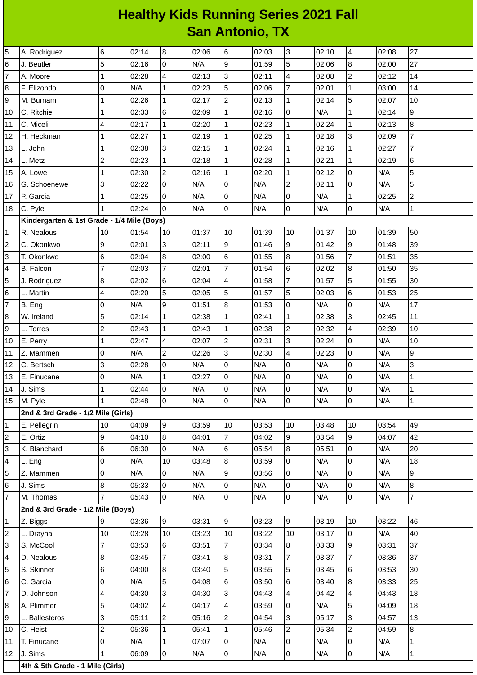## **Healthy Kids Running Series 2021 Fall San Antonio, TX**

| 5              | A. Rodriguez                               | 6              | 02:14 | 8              | 02:06 | 6              | 02:03 | 3              | 02:10 | 4               | 02:08 | 27             |
|----------------|--------------------------------------------|----------------|-------|----------------|-------|----------------|-------|----------------|-------|-----------------|-------|----------------|
| 6              | J. Beutler                                 | 5              | 02:16 | 0              | N/A   | 9              | 01:59 | 5              | 02:06 | $\bf{8}$        | 02:00 | 27             |
| 7              | A. Moore                                   | 1              | 02:28 | 4              | 02:13 | 3              | 02:11 | 4              | 02:08 | $\overline{c}$  | 02:12 | 14             |
| 8              | F. Elizondo                                | 0              | N/A   | $\mathbf 1$    | 02:23 | 5              | 02:06 | 7              | 02:01 | $\mathbf{1}$    | 03:00 | 14             |
| 9              | M. Burnam                                  | 1              | 02:26 | $\mathbf{1}$   | 02:17 | $\overline{2}$ | 02:13 | $\mathbf{1}$   | 02:14 | 5               | 02:07 | 10             |
| 10             | C. Ritchie                                 | 1              | 02:33 | 6              | 02:09 | $\mathbf{1}$   | 02:16 | 0              | N/A   | $\mathbf{1}$    | 02:14 | 9              |
| 11             | C. Miceli                                  | $\overline{4}$ | 02:17 | $\mathbf{1}$   | 02:20 | $\mathbf{1}$   | 02:23 | $\mathbf{1}$   | 02:24 | $\mathbf{1}$    | 02:13 | 8              |
| 12             | H. Heckman                                 | 1              | 02:27 | $\mathbf 1$    | 02:19 | $\mathbf{1}$   | 02:25 | 1              | 02:18 | 3               | 02:09 | $\overline{7}$ |
| 13             | L. John                                    | 1              | 02:38 | 3              | 02:15 | $\overline{1}$ | 02:24 | $\mathbf{1}$   | 02:16 | $\mathbf{1}$    | 02:27 | $\overline{7}$ |
| 14             | L. Metz                                    | $\overline{c}$ | 02:23 | $\mathbf 1$    | 02:18 | $\mathbf{1}$   | 02:28 | 1              | 02:21 | $\mathbf{1}$    | 02:19 | 6              |
| 15             | A. Lowe                                    | 1              | 02:30 | $\overline{c}$ | 02:16 | $\mathbf{1}$   | 02:20 | $\mathbf{1}$   | 02:12 | $\overline{0}$  | N/A   | 5              |
| 16             | G. Schoenewe                               | 3              | 02:22 | 0              | N/A   | 0              | N/A   | $\overline{c}$ | 02:11 | $\overline{0}$  | N/A   | 5              |
| 17             | P. Garcia                                  | 1              | 02:25 | $\overline{0}$ | N/A   | $\overline{0}$ | N/A   | 0              | N/A   | $\mathbf 1$     | 02:25 | $\overline{c}$ |
| 18             | C. Pyle                                    | 1              | 02:24 | 0              | N/A   | $\overline{0}$ | N/A   | 0              | N/A   | 0               | N/A   | $\mathbf{1}$   |
|                | Kindergarten & 1st Grade - 1/4 Mile (Boys) |                |       |                |       |                |       |                |       |                 |       |                |
| 1              | R. Nealous                                 | 10             | 01:54 | 10             | 01:37 | 10             | 01:39 | 10             | 01:37 | 10              | 01:39 | 50             |
| 2              | C. Okonkwo                                 | 9              | 02:01 | 3              | 02:11 | 9              | 01:46 | 9              | 01:42 | 9               | 01:48 | 39             |
| 3              | T. Okonkwo                                 | 6              | 02:04 | 8              | 02:00 | 6              | 01:55 | 8              | 01:56 | 7               | 01:51 | 35             |
| 4              | <b>B.</b> Falcon                           | $\overline{7}$ | 02:03 | $\overline{7}$ | 02:01 | $\overline{7}$ | 01:54 | 6              | 02:02 | $\bf{8}$        | 01:50 | 35             |
| 5              | J. Rodriguez                               | 8              | 02:02 | 6              | 02:04 | 4              | 01:58 | 7              | 01:57 | 5               | 01:55 | 30             |
| 6              | L. Martin                                  | $\overline{4}$ | 02:20 | 5              | 02:05 | 5              | 01:57 | 5              | 02:03 | $6\phantom{a}$  | 01:53 | 25             |
| 7              | B. Eng                                     | 0              | N/A   | 9              | 01:51 | 8              | 01:53 | 0              | N/A   | $\overline{0}$  | N/A   | 17             |
| 8              | W. Ireland                                 | 5              | 02:14 | $\mathbf{1}$   | 02:38 | $\mathbf{1}$   | 02:41 | $\mathbf{1}$   | 02:38 | 3               | 02:45 | 11             |
| 9              | L. Torres                                  | $\overline{c}$ | 02:43 | $\mathbf{1}$   | 02:43 | $\mathbf{1}$   | 02:38 | $\overline{c}$ | 02:32 | 4               | 02:39 | 10             |
| 10             | E. Perry                                   | $\mathbf{1}$   | 02:47 | 4              | 02:07 | $\overline{c}$ | 02:31 | 3              | 02:24 | $\overline{0}$  | N/A   | 10             |
| 11             | Z. Mammen                                  | 0              | N/A   | $\overline{c}$ | 02:26 | 3              | 02:30 | 4              | 02:23 | $\overline{0}$  | N/A   | 9              |
| 12             | C. Bertsch                                 | 3              | 02:28 | $\overline{0}$ | N/A   | $\overline{0}$ | N/A   | 0              | N/A   | O               | N/A   | 3              |
| 13             | E. Finucane                                | 0              | N/A   | $\mathbf 1$    | 02:27 | 0              | N/A   | 0              | N/A   | 0               | N/A   | $\mathbf 1$    |
| 14             | J. Sims                                    | 1              | 02:44 | $\overline{0}$ | N/A   | $\overline{0}$ | N/A   | 0              | N/A   | 0               | N/A   | $\mathbf 1$    |
| 15             | M. Pyle                                    | 11             | 02:48 | 10             | N/A   | 0              | N/A   | 10             | N/A   | $\vert 0 \vert$ | N/A   | $\vert$ 1      |
|                | 2nd & 3rd Grade - 1/2 Mile (Girls)         |                |       |                |       |                |       |                |       |                 |       |                |
| 1              | E. Pellegrin                               | 10             | 04:09 | 9              | 03:59 | 10             | 03:53 | 10             | 03:48 | 10              | 03:54 | 49             |
| 2              | E. Ortiz                                   | 9              | 04:10 | $\bf{8}$       | 04:01 | $\overline{7}$ | 04:02 | 9              | 03:54 | 9               | 04:07 | 42             |
| 3              | K. Blanchard                               | 6              | 06:30 | 0              | N/A   | 6              | 05:54 | 8              | 05:51 | 0               | N/A   | 20             |
| 4              | L. Eng                                     | 0              | N/A   | 10             | 03:48 | 8              | 03:59 | 0              | N/A   | l0              | N/A   | 18             |
| 5              | Z. Mammen                                  | 0              | N/A   | 0              | N/A   | 9              | 03:56 | 0              | N/A   | 0               | N/A   | 9              |
| 6              | J. Sims                                    | 8              | 05:33 | $\mathsf 0$    | N/A   | 0              | N/A   | 0              | N/A   | lo              | N/A   | 8              |
| $\overline{7}$ | M. Thomas                                  | 7              | 05:43 | O              | N/A   | $\overline{0}$ | N/A   | 0              | N/A   | 0               | N/A   | $\overline{7}$ |
|                | 2nd & 3rd Grade - 1/2 Mile (Boys)          |                |       |                |       |                |       |                |       |                 |       |                |
| 1              | Z. Biggs                                   | 9              | 03:36 | 9              | 03:31 | 9              | 03:23 | 9              | 03:19 | 10              | 03:22 | 46             |
| 2              | L. Drayna                                  | 10             | 03:28 | 10             | 03:23 | 10             | 03:22 | 10             | 03:17 | 0               | N/A   | 40             |
| 3              | S. McCool                                  | 7              | 03:53 | 6              | 03:51 | 7              | 03:34 | 8              | 03:33 | 9               | 03:31 | 37             |
| 4              | D. Nealous                                 | 8              | 03:45 | $\overline{7}$ | 03:41 | 8              | 03:31 | 7              | 03:37 | $\overline{7}$  | 03:36 | 37             |
| 5              | S. Skinner                                 | 6              | 04:00 | $\bf 8$        | 03:40 | 5              | 03:55 | 5              | 03:45 | 6               | 03:53 | 30             |
| 6              | C. Garcia                                  | $\mathbf 0$    | N/A   | 5              | 04:08 | 6              | 03:50 | 6              | 03:40 | $\bf{8}$        | 03:33 | 25             |
| $\overline{7}$ | D. Johnson                                 | 4              | 04:30 | 3              | 04:30 | IЗ             | 04:43 | 4              | 04:42 | 4               | 04:43 | 18             |
| 8              | A. Plimmer                                 | 5              | 04:02 | 4              | 04:17 | 4              | 03:59 | 0              | N/A   | 5               | 04:09 | 18             |
| 9              | L. Ballesteros                             | 3              | 05:11 | $\overline{c}$ | 05:16 | $\overline{c}$ | 04:54 | 3              | 05:17 | $\overline{3}$  | 04:57 | 13             |
| 10             | C. Heist                                   | $\overline{c}$ | 05:36 | $\mathbf{1}$   | 05:41 | $\mathbf{1}$   | 05:46 | $\overline{c}$ | 05:34 | $\overline{c}$  | 04:59 | 8              |
| 11             | T. Finucane                                | 0              | N/A   | $\mathbf{1}$   | 07:07 | 0              | N/A   | 0              | N/A   | $\overline{0}$  | N/A   | $\mathbf{1}$   |
| 12             | J. Sims                                    | $\mathbf{1}$   | 06:09 | $\mathsf 0$    | N/A   | $\overline{0}$ | N/A   | 0              | N/A   | $\overline{0}$  | N/A   | $\mathbf{1}$   |
|                | 4th & 5th Grade - 1 Mile (Girls)           |                |       |                |       |                |       |                |       |                 |       |                |